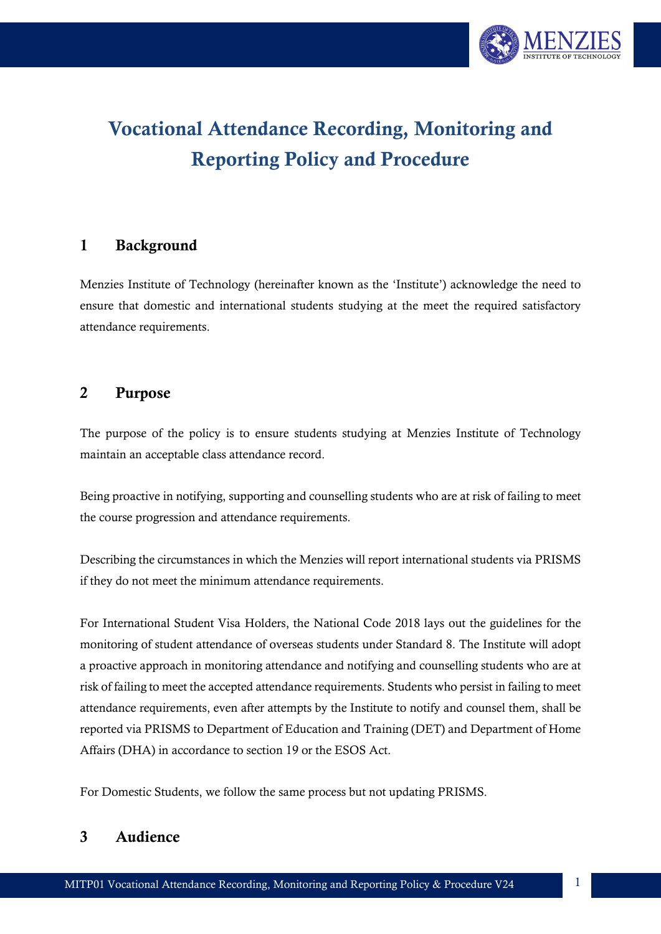

# Vocational Attendance Recording, Monitoring and Reporting Policy and Procedure

## 1 Background

Menzies Institute of Technology (hereinafter known as the 'Institute') acknowledge the need to ensure that domestic and international students studying at the meet the required satisfactory attendance requirements.

#### 2 Purpose

The purpose of the policy is to ensure students studying at Menzies Institute of Technology maintain an acceptable class attendance record.

Being proactive in notifying, supporting and counselling students who are at risk of failing to meet the course progression and attendance requirements.

Describing the circumstances in which the Menzies will report international students via PRISMS if they do not meet the minimum attendance requirements.

For International Student Visa Holders, the National Code 2018 lays out the guidelines for the monitoring of student attendance of overseas students under Standard 8. The Institute will adopt a proactive approach in monitoring attendance and notifying and counselling students who are at risk of failing to meet the accepted attendance requirements. Students who persist in failing to meet attendance requirements, even after attempts by the Institute to notify and counsel them, shall be reported via PRISMS to Department of Education and Training (DET) and Department of Home Affairs (DHA) in accordance to section 19 or the ESOS Act.

For Domestic Students, we follow the same process but not updating PRISMS.

## 3 Audience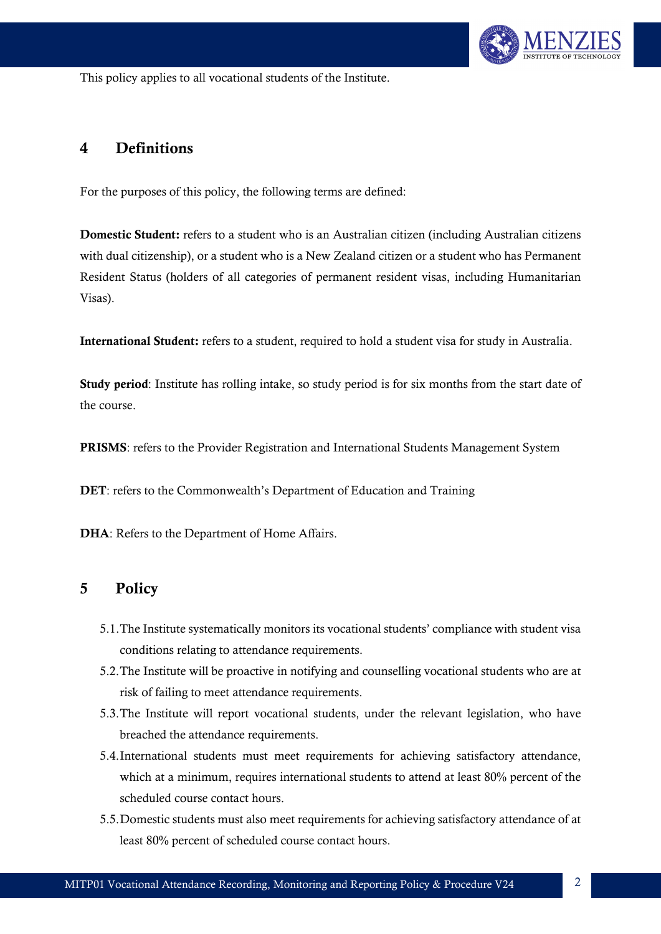

This policy applies to all vocational students of the Institute.

#### 4 Definitions

For the purposes of this policy, the following terms are defined:

Domestic Student: refers to a student who is an Australian citizen (including Australian citizens with dual citizenship), or a student who is a New Zealand citizen or a student who has Permanent Resident Status (holders of all categories of permanent resident visas, including Humanitarian Visas).

International Student: refers to a student, required to hold a student visa for study in Australia.

Study period: Institute has rolling intake, so study period is for six months from the start date of the course.

PRISMS: refers to the Provider Registration and International Students Management System

DET: refers to the Commonwealth's Department of Education and Training

DHA: Refers to the Department of Home Affairs.

#### 5 Policy

- 5.1.The Institute systematically monitors its vocational students' compliance with student visa conditions relating to attendance requirements.
- 5.2.The Institute will be proactive in notifying and counselling vocational students who are at risk of failing to meet attendance requirements.
- 5.3.The Institute will report vocational students, under the relevant legislation, who have breached the attendance requirements.
- 5.4.International students must meet requirements for achieving satisfactory attendance, which at a minimum, requires international students to attend at least 80% percent of the scheduled course contact hours.
- 5.5.Domestic students must also meet requirements for achieving satisfactory attendance of at least 80% percent of scheduled course contact hours.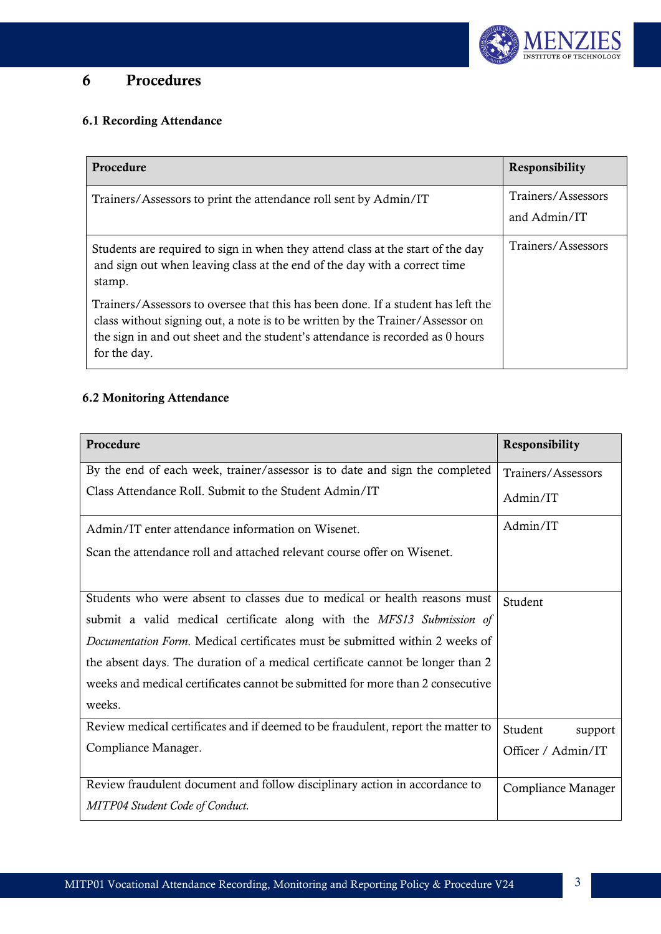

# 6 Procedures

## 6.1 Recording Attendance

| Procedure                                                                                                                                                                                                                                                          | <b>Responsibility</b>              |
|--------------------------------------------------------------------------------------------------------------------------------------------------------------------------------------------------------------------------------------------------------------------|------------------------------------|
| Trainers/Assessors to print the attendance roll sent by Admin/IT                                                                                                                                                                                                   | Trainers/Assessors<br>and Admin/IT |
| Students are required to sign in when they attend class at the start of the day<br>and sign out when leaving class at the end of the day with a correct time<br>stamp.                                                                                             | Trainers/Assessors                 |
| Trainers/Assessors to oversee that this has been done. If a student has left the<br>class without signing out, a note is to be written by the Trainer/Assessor on<br>the sign in and out sheet and the student's attendance is recorded as 0 hours<br>for the day. |                                    |

#### 6.2 Monitoring Attendance

| Procedure                                                                           | Responsibility     |
|-------------------------------------------------------------------------------------|--------------------|
| By the end of each week, trainer/assessor is to date and sign the completed         | Trainers/Assessors |
| Class Attendance Roll. Submit to the Student Admin/IT                               | Admin/IT           |
| Admin/IT enter attendance information on Wisenet.                                   | Admin/IT           |
| Scan the attendance roll and attached relevant course offer on Wisenet.             |                    |
|                                                                                     |                    |
| Students who were absent to classes due to medical or health reasons must           | Student            |
| submit a valid medical certificate along with the MFS13 Submission of               |                    |
| <i>Documentation Form.</i> Medical certificates must be submitted within 2 weeks of |                    |
| the absent days. The duration of a medical certificate cannot be longer than 2      |                    |
| weeks and medical certificates cannot be submitted for more than 2 consecutive      |                    |
| weeks.                                                                              |                    |
| Review medical certificates and if deemed to be fraudulent, report the matter to    | Student<br>support |
| Compliance Manager.                                                                 | Officer / Admin/IT |
|                                                                                     |                    |
| Review fraudulent document and follow disciplinary action in accordance to          | Compliance Manager |
| <b>MITP04 Student Code of Conduct.</b>                                              |                    |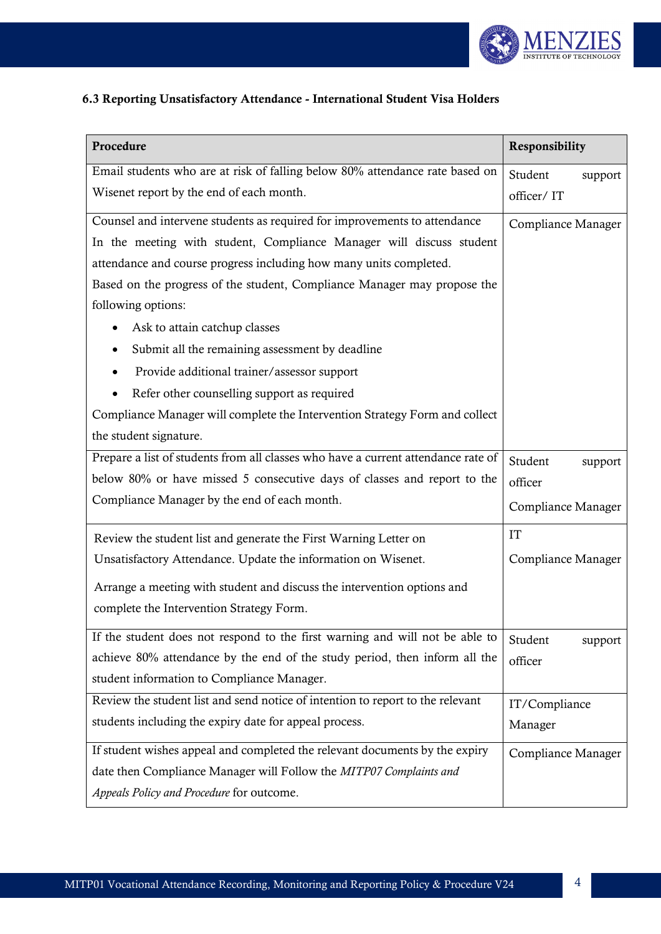

## 6.3 Reporting Unsatisfactory Attendance - International Student Visa Holders

| Procedure                                                                                       | Responsibility     |  |
|-------------------------------------------------------------------------------------------------|--------------------|--|
| Email students who are at risk of falling below 80% attendance rate based on                    | Student<br>support |  |
| Wisenet report by the end of each month.                                                        | officer/IT         |  |
| Counsel and intervene students as required for improvements to attendance                       | Compliance Manager |  |
| In the meeting with student, Compliance Manager will discuss student                            |                    |  |
| attendance and course progress including how many units completed.                              |                    |  |
| Based on the progress of the student, Compliance Manager may propose the                        |                    |  |
| following options:                                                                              |                    |  |
| Ask to attain catchup classes                                                                   |                    |  |
| Submit all the remaining assessment by deadline                                                 |                    |  |
| Provide additional trainer/assessor support                                                     |                    |  |
| Refer other counselling support as required                                                     |                    |  |
| Compliance Manager will complete the Intervention Strategy Form and collect                     |                    |  |
| the student signature.                                                                          |                    |  |
| Prepare a list of students from all classes who have a current attendance rate of               | Student<br>support |  |
| below 80% or have missed 5 consecutive days of classes and report to the                        | officer            |  |
| Compliance Manager by the end of each month.                                                    | Compliance Manager |  |
| Review the student list and generate the First Warning Letter on                                | <b>IT</b>          |  |
| Unsatisfactory Attendance. Update the information on Wisenet.                                   | Compliance Manager |  |
| Arrange a meeting with student and discuss the intervention options and                         |                    |  |
| complete the Intervention Strategy Form.                                                        |                    |  |
| If the student does not respond to the first warning and will not be able to                    | Student<br>support |  |
| achieve 80% attendance by the end of the study period, then inform all the                      | officer            |  |
| student information to Compliance Manager.                                                      |                    |  |
| Review the student list and send notice of intention to report to the relevant<br>IT/Compliance |                    |  |
| students including the expiry date for appeal process.                                          | Manager            |  |
| If student wishes appeal and completed the relevant documents by the expiry                     | Compliance Manager |  |
| date then Compliance Manager will Follow the MITP07 Complaints and                              |                    |  |
| Appeals Policy and Procedure for outcome.                                                       |                    |  |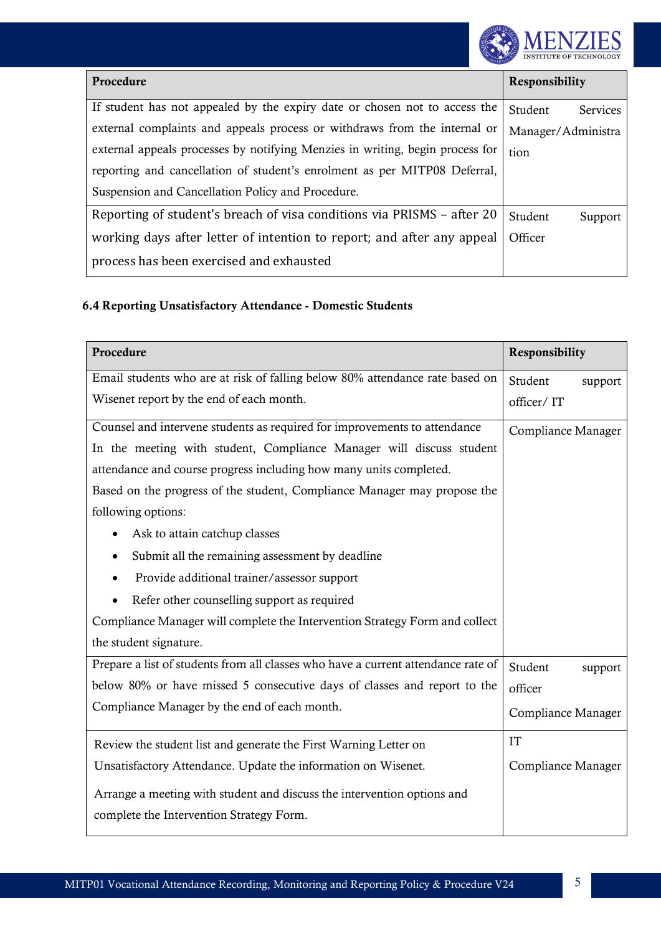

| Procedure                                                                                       | <b>Responsibility</b>      |  |
|-------------------------------------------------------------------------------------------------|----------------------------|--|
| If student has not appealed by the expiry date or chosen not to access the                      | Student<br><b>Services</b> |  |
| external complaints and appeals process or withdraws from the internal or<br>Manager/Administra |                            |  |
| external appeals processes by notifying Menzies in writing, begin process for                   | tion                       |  |
| reporting and cancellation of student's enrolment as per MITP08 Deferral,                       |                            |  |
| Suspension and Cancellation Policy and Procedure.                                               |                            |  |
| Reporting of student's breach of visa conditions via PRISMS – after 20                          | Student<br>Support         |  |
| working days after letter of intention to report; and after any appeal                          | Officer                    |  |
| process has been exercised and exhausted                                                        |                            |  |

#### 6.4 Reporting Unsatisfactory Attendance - Domestic Students

| Procedure                                                                                                           | Responsibility            |  |
|---------------------------------------------------------------------------------------------------------------------|---------------------------|--|
| Email students who are at risk of falling below 80% attendance rate based on                                        | Student<br>support        |  |
| Wisenet report by the end of each month.                                                                            | officer/IT                |  |
| Counsel and intervene students as required for improvements to attendance                                           | Compliance Manager        |  |
| In the meeting with student, Compliance Manager will discuss student                                                |                           |  |
| attendance and course progress including how many units completed.                                                  |                           |  |
| Based on the progress of the student, Compliance Manager may propose the                                            |                           |  |
| following options:                                                                                                  |                           |  |
| Ask to attain catchup classes                                                                                       |                           |  |
| Submit all the remaining assessment by deadline<br>$\bullet$                                                        |                           |  |
| Provide additional trainer/assessor support                                                                         |                           |  |
| Refer other counselling support as required                                                                         |                           |  |
| Compliance Manager will complete the Intervention Strategy Form and collect                                         |                           |  |
| the student signature.                                                                                              |                           |  |
| Prepare a list of students from all classes who have a current attendance rate of                                   | Student<br>support        |  |
| below 80% or have missed 5 consecutive days of classes and report to the                                            | officer                   |  |
| Compliance Manager by the end of each month.                                                                        | Compliance Manager        |  |
| Review the student list and generate the First Warning Letter on                                                    | <b>IT</b>                 |  |
| Unsatisfactory Attendance. Update the information on Wisenet.                                                       | <b>Compliance Manager</b> |  |
| Arrange a meeting with student and discuss the intervention options and<br>complete the Intervention Strategy Form. |                           |  |
|                                                                                                                     |                           |  |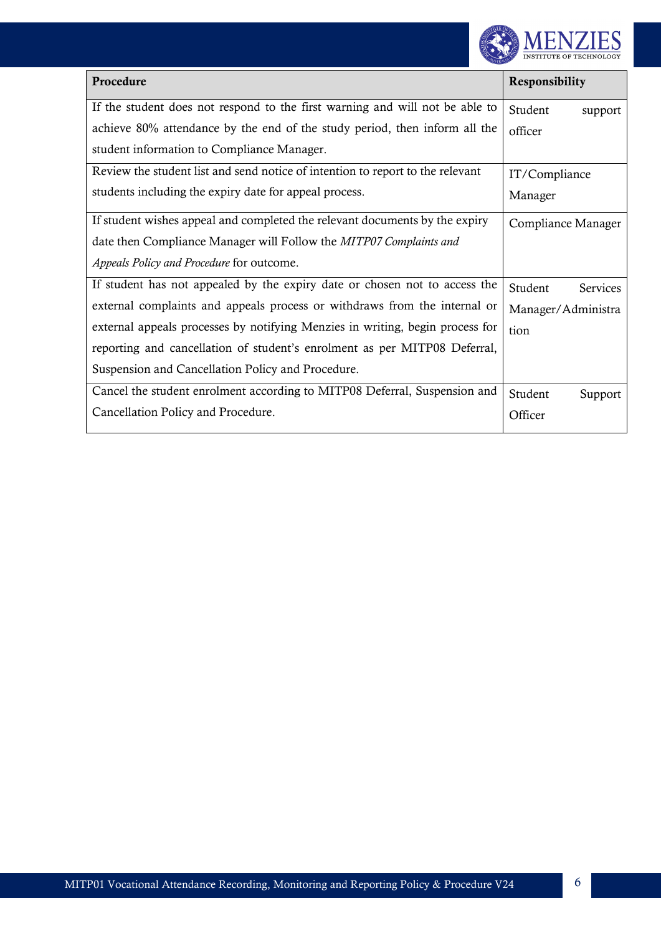

| Procedure                                                                      | <b>Responsibility</b>      |  |
|--------------------------------------------------------------------------------|----------------------------|--|
| If the student does not respond to the first warning and will not be able to   | Student<br>support         |  |
| achieve 80% attendance by the end of the study period, then inform all the     | officer                    |  |
| student information to Compliance Manager.                                     |                            |  |
| Review the student list and send notice of intention to report to the relevant | IT/Compliance              |  |
| students including the expiry date for appeal process.                         | Manager                    |  |
| If student wishes appeal and completed the relevant documents by the expiry    | Compliance Manager         |  |
| date then Compliance Manager will Follow the MITP07 Complaints and             |                            |  |
| Appeals Policy and Procedure for outcome.                                      |                            |  |
| If student has not appealed by the expiry date or chosen not to access the     | Student<br><b>Services</b> |  |
| external complaints and appeals process or withdraws from the internal or      | Manager/Administra         |  |
| external appeals processes by notifying Menzies in writing, begin process for  | tion                       |  |
| reporting and cancellation of student's enrolment as per MITP08 Deferral,      |                            |  |
| Suspension and Cancellation Policy and Procedure.                              |                            |  |
| Cancel the student enrolment according to MITP08 Deferral, Suspension and      | Student<br>Support         |  |
| Cancellation Policy and Procedure.                                             | Officer                    |  |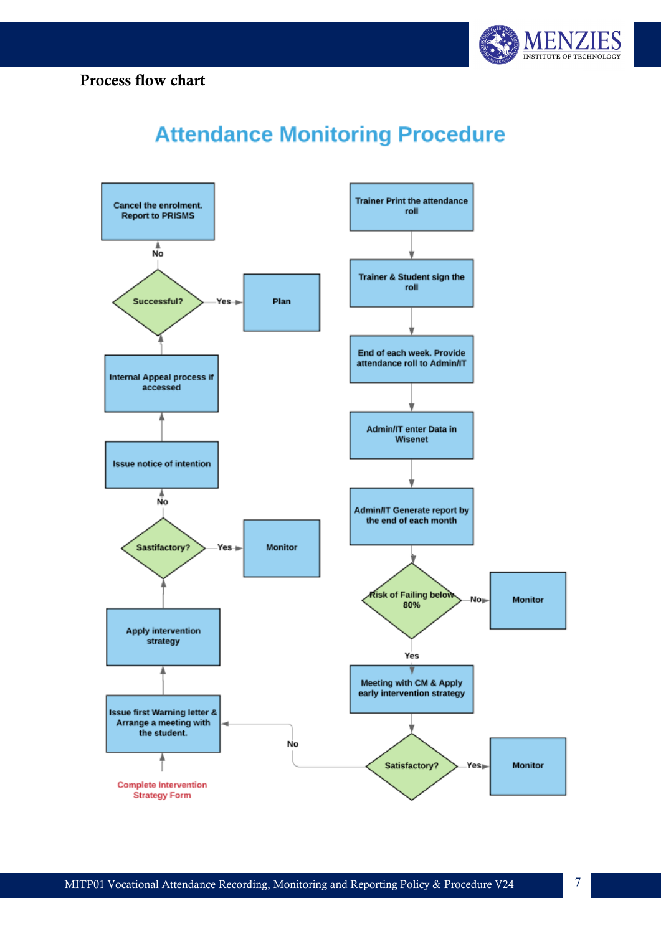



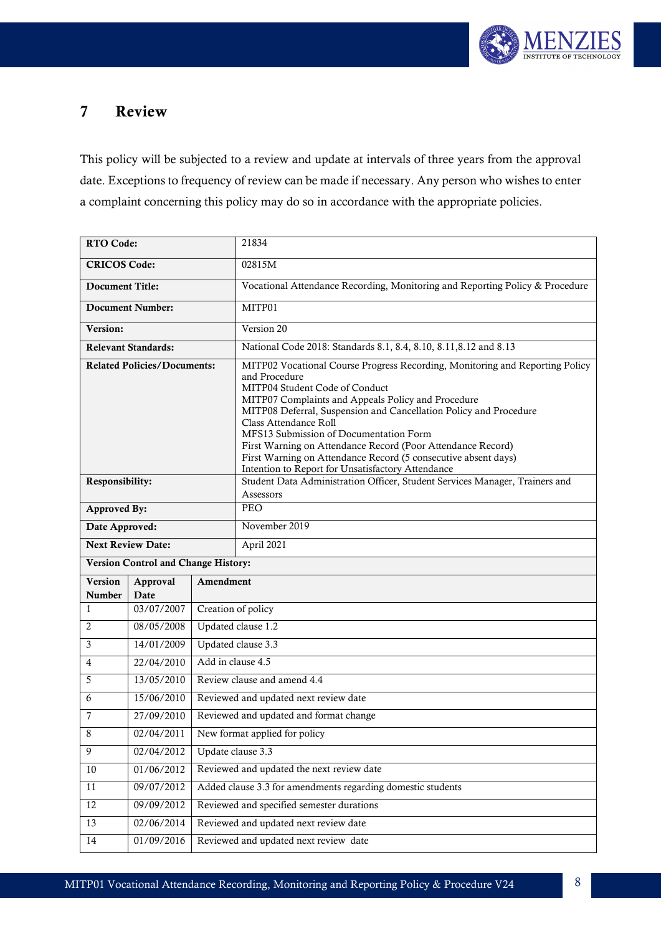

# 7 Review

This policy will be subjected to a review and update at intervals of three years from the approval date. Exceptions to frequency of review can be made if necessary. Any person who wishes to enter a complaint concerning this policy may do so in accordance with the appropriate policies.

| <b>RTO Code:</b>         |                                            |                                       | 21834                                                                                                                                                                                                                                                                                                                                                                                                                                                                                                               |
|--------------------------|--------------------------------------------|---------------------------------------|---------------------------------------------------------------------------------------------------------------------------------------------------------------------------------------------------------------------------------------------------------------------------------------------------------------------------------------------------------------------------------------------------------------------------------------------------------------------------------------------------------------------|
| <b>CRICOS Code:</b>      |                                            |                                       | 02815M                                                                                                                                                                                                                                                                                                                                                                                                                                                                                                              |
| <b>Document Title:</b>   |                                            |                                       | Vocational Attendance Recording, Monitoring and Reporting Policy & Procedure                                                                                                                                                                                                                                                                                                                                                                                                                                        |
|                          | <b>Document Number:</b>                    |                                       | MITP01                                                                                                                                                                                                                                                                                                                                                                                                                                                                                                              |
| Version:                 |                                            |                                       | Version 20                                                                                                                                                                                                                                                                                                                                                                                                                                                                                                          |
|                          | <b>Relevant Standards:</b>                 |                                       | National Code 2018: Standards 8.1, 8.4, 8.10, 8.11, 8.12 and 8.13                                                                                                                                                                                                                                                                                                                                                                                                                                                   |
|                          | <b>Related Policies/Documents:</b>         |                                       | MITP02 Vocational Course Progress Recording, Monitoring and Reporting Policy<br>and Procedure<br>MITP04 Student Code of Conduct<br>MITP07 Complaints and Appeals Policy and Procedure<br>MITP08 Deferral, Suspension and Cancellation Policy and Procedure<br>Class Attendance Roll<br>MFS13 Submission of Documentation Form<br>First Warning on Attendance Record (Poor Attendance Record)<br>First Warning on Attendance Record (5 consecutive absent days)<br>Intention to Report for Unsatisfactory Attendance |
| Responsibility:          |                                            |                                       | Student Data Administration Officer, Student Services Manager, Trainers and<br>Assessors                                                                                                                                                                                                                                                                                                                                                                                                                            |
| <b>Approved By:</b>      |                                            |                                       | PEO                                                                                                                                                                                                                                                                                                                                                                                                                                                                                                                 |
| Date Approved:           |                                            |                                       | November 2019                                                                                                                                                                                                                                                                                                                                                                                                                                                                                                       |
| <b>Next Review Date:</b> |                                            |                                       | April 2021                                                                                                                                                                                                                                                                                                                                                                                                                                                                                                          |
|                          | <b>Version Control and Change History:</b> |                                       |                                                                                                                                                                                                                                                                                                                                                                                                                                                                                                                     |
| Version<br>Number        | Approval<br>Date                           | Amendment                             |                                                                                                                                                                                                                                                                                                                                                                                                                                                                                                                     |
| 1                        | 03/07/2007                                 |                                       | Creation of policy                                                                                                                                                                                                                                                                                                                                                                                                                                                                                                  |
| 2                        | 08/05/2008                                 |                                       | Updated clause 1.2                                                                                                                                                                                                                                                                                                                                                                                                                                                                                                  |
| 3                        | 14/01/2009                                 |                                       | Updated clause 3.3                                                                                                                                                                                                                                                                                                                                                                                                                                                                                                  |
| 4                        | 22/04/2010                                 | Add in clause 4.5                     |                                                                                                                                                                                                                                                                                                                                                                                                                                                                                                                     |
| 5                        | 13/05/2010                                 |                                       | Review clause and amend 4.4                                                                                                                                                                                                                                                                                                                                                                                                                                                                                         |
| 6                        | 15/06/2010                                 |                                       | Reviewed and updated next review date                                                                                                                                                                                                                                                                                                                                                                                                                                                                               |
| 7                        | 27/09/2010                                 |                                       | Reviewed and updated and format change                                                                                                                                                                                                                                                                                                                                                                                                                                                                              |
| 8                        | 02/04/2011                                 |                                       | New format applied for policy                                                                                                                                                                                                                                                                                                                                                                                                                                                                                       |
| 9                        | 02/04/2012                                 |                                       | Update clause 3.3                                                                                                                                                                                                                                                                                                                                                                                                                                                                                                   |
| 10                       | 01/06/2012                                 |                                       | Reviewed and updated the next review date                                                                                                                                                                                                                                                                                                                                                                                                                                                                           |
| $11\,$                   | 09/07/2012                                 |                                       | Added clause 3.3 for amendments regarding domestic students                                                                                                                                                                                                                                                                                                                                                                                                                                                         |
| 12                       | 09/09/2012                                 |                                       | Reviewed and specified semester durations                                                                                                                                                                                                                                                                                                                                                                                                                                                                           |
| 13                       | 02/06/2014                                 | Reviewed and updated next review date |                                                                                                                                                                                                                                                                                                                                                                                                                                                                                                                     |
| 14                       | 01/09/2016                                 | Reviewed and updated next review date |                                                                                                                                                                                                                                                                                                                                                                                                                                                                                                                     |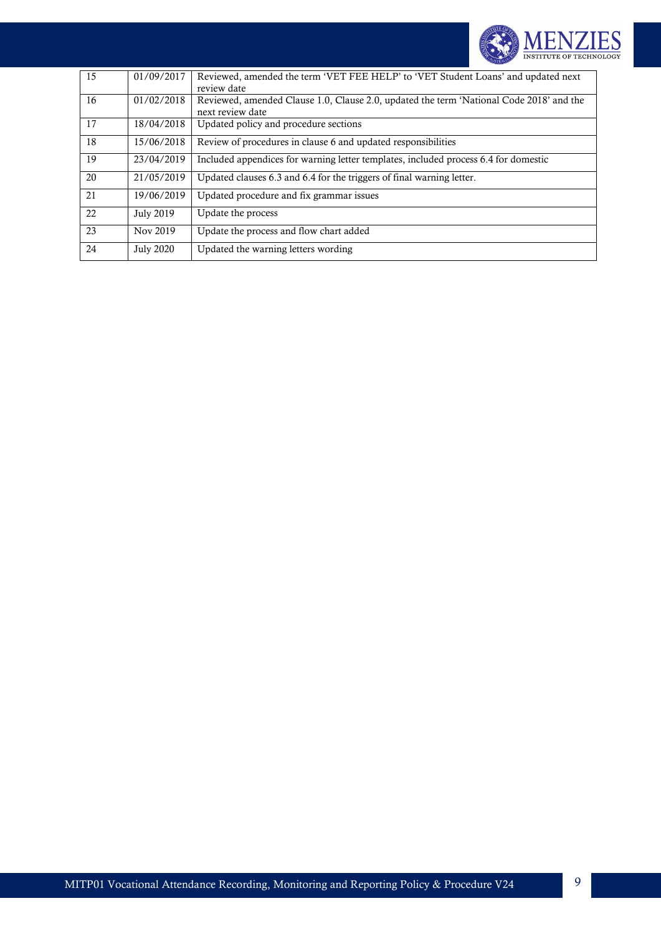

| 15 | 01/09/2017       | Reviewed, amended the term 'VET FEE HELP' to 'VET Student Loans' and updated next<br>review date            |
|----|------------------|-------------------------------------------------------------------------------------------------------------|
| 16 | 01/02/2018       | Reviewed, amended Clause 1.0, Clause 2.0, updated the term 'National Code 2018' and the<br>next review date |
| 17 | 18/04/2018       | Updated policy and procedure sections                                                                       |
| 18 | 15/06/2018       | Review of procedures in clause 6 and updated responsibilities                                               |
| 19 | 23/04/2019       | Included appendices for warning letter templates, included process 6.4 for domestic                         |
| 20 | 21/05/2019       | Updated clauses 6.3 and 6.4 for the triggers of final warning letter.                                       |
| 21 | 19/06/2019       | Updated procedure and fix grammar issues                                                                    |
| 22 | <b>July 2019</b> | Update the process                                                                                          |
| 23 | Nov 2019         | Update the process and flow chart added                                                                     |
| 24 | <b>July 2020</b> | Updated the warning letters wording                                                                         |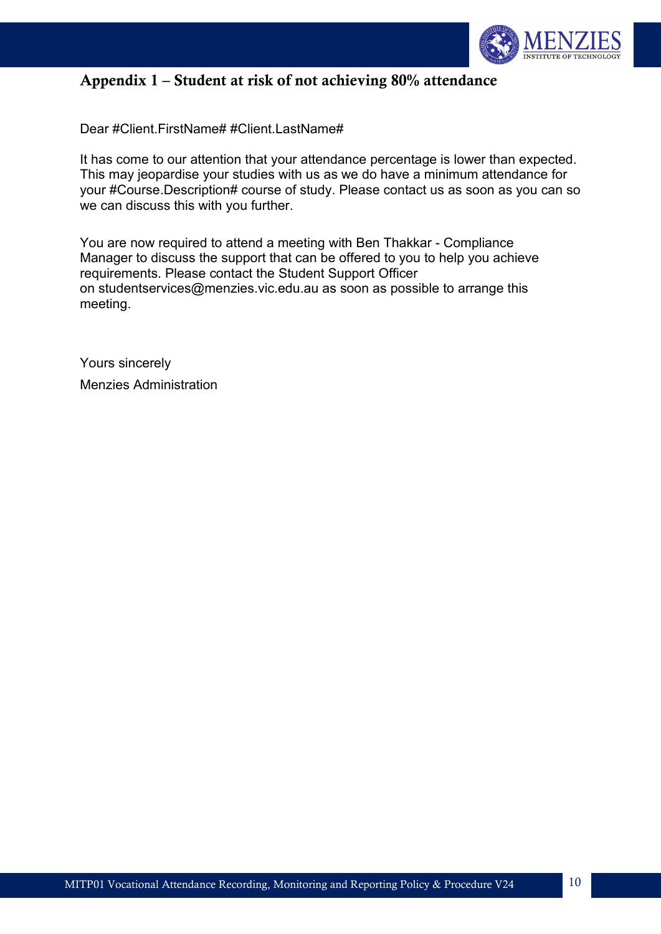

# Appendix 1 – Student at risk of not achieving 80% attendance

Dear #Client.FirstName# #Client.LastName#

It has come to our attention that your attendance percentage is lower than expected. This may jeopardise your studies with us as we do have a minimum attendance for your #Course.Description# course of study. Please contact us as soon as you can so we can discuss this with you further.

You are now required to attend a meeting with Ben Thakkar - Compliance Manager to discuss the support that can be offered to you to help you achieve requirements. Please contact the Student Support Officer on [studentservices@menzies.vic.edu.au](mailto:studentservices@menzies.vic.edu.au) as soon as possible to arrange this meeting.

Yours sincerely Menzies Administration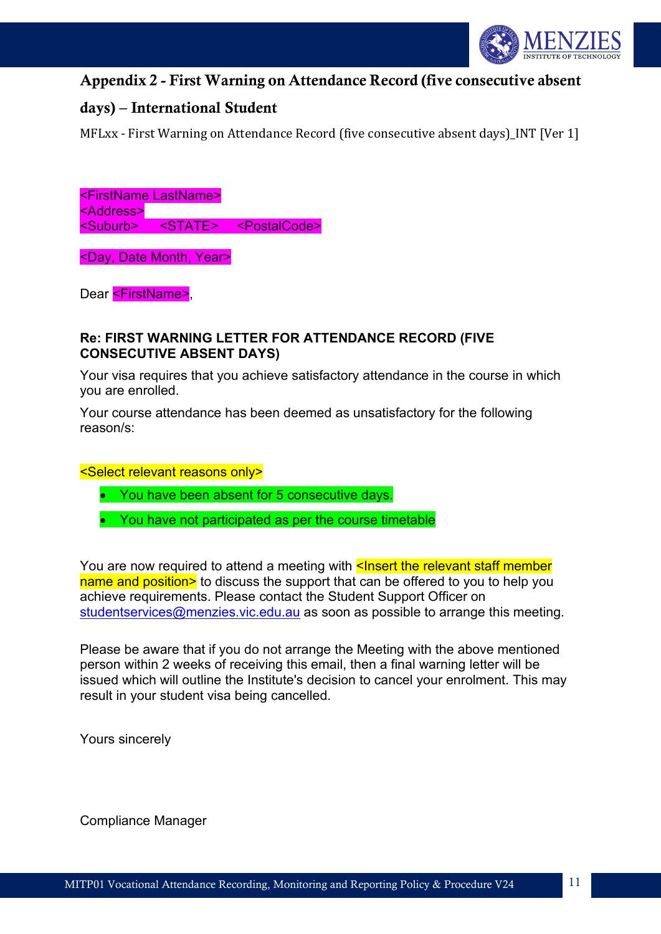

## Appendix 2 - First Warning on Attendance Record (five consecutive absent

## days) – International Student

MFLxx - First Warning on Attendance Record (five consecutive absent days) INT [Ver 1]

<FirstName LastName> <Address> <Suburb> <STATE> <PostalCode>

<Day, Date Month, Year>

Dear <FirstName>.

#### **Re: FIRST WARNING LETTER FOR ATTENDANCE RECORD (FIVE CONSECUTIVE ABSENT DAYS)**

Your visa requires that you achieve satisfactory attendance in the course in which you are enrolled.

Your course attendance has been deemed as unsatisfactory for the following reason/s:

<Select relevant reasons only>

- You have been absent for 5 consecutive days.
- You have not participated as per the course timetable

You are now required to attend a meeting with **<Insert the relevant staff member** name and position> to discuss the support that can be offered to you to help you achieve requirements. Please contact the Student Support Officer on [studentservices@menzies.vic.edu.au](mailto:studentservices@menzies.vic.edu.au) as soon as possible to arrange this meeting.

Please be aware that if you do not arrange the Meeting with the above mentioned person within 2 weeks of receiving this email, then a final warning letter will be issued which will outline the Institute's decision to cancel your enrolment. This may result in your student visa being cancelled.

Yours sincerely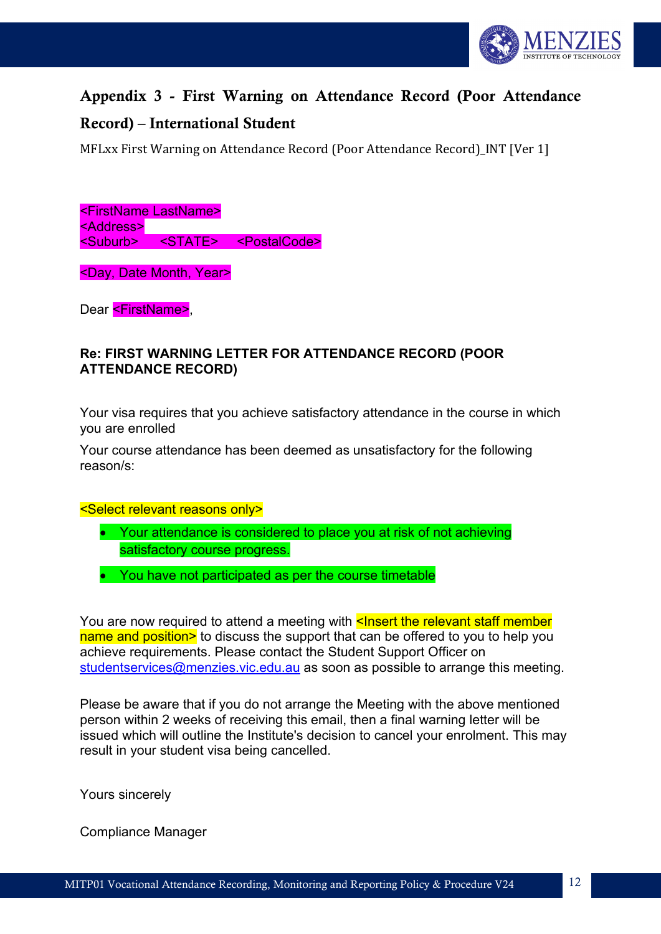

# Appendix 3 - First Warning on Attendance Record (Poor Attendance

## Record) – International Student

MFLxx First Warning on Attendance Record (Poor Attendance Record)\_INT [Ver 1]

<FirstName LastName> <Address> <Suburb> <STATE> <PostalCode>

<Day, Date Month, Year>

Dear <FirstName>,

#### **Re: FIRST WARNING LETTER FOR ATTENDANCE RECORD (POOR ATTENDANCE RECORD)**

Your visa requires that you achieve satisfactory attendance in the course in which you are enrolled

Your course attendance has been deemed as unsatisfactory for the following reason/s:

<Select relevant reasons only>

- Your attendance is considered to place you at risk of not achieving satisfactory course progress.
- You have not participated as per the course timetable

You are now required to attend a meeting with <Insert the relevant staff member name and position> to discuss the support that can be offered to you to help you achieve requirements. Please contact the Student Support Officer on [studentservices@menzies.vic.edu.au](mailto:studentservices@menzies.vic.edu.au) as soon as possible to arrange this meeting.

Please be aware that if you do not arrange the Meeting with the above mentioned person within 2 weeks of receiving this email, then a final warning letter will be issued which will outline the Institute's decision to cancel your enrolment. This may result in your student visa being cancelled.

Yours sincerely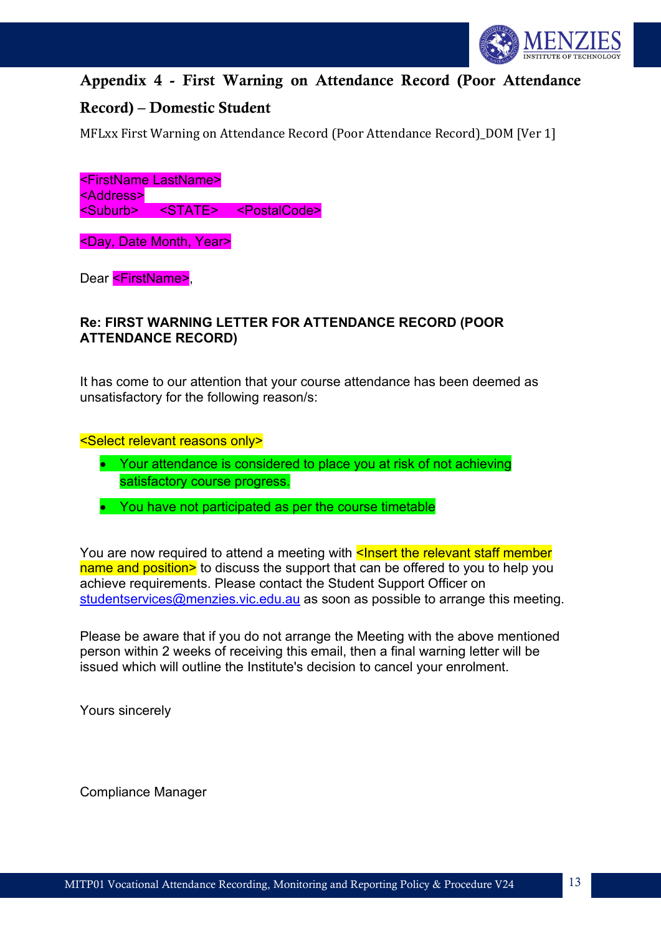

# Appendix 4 - First Warning on Attendance Record (Poor Attendance

## Record) – Domestic Student

MFLxx First Warning on Attendance Record (Poor Attendance Record) DOM [Ver 1]

<FirstName LastName> <Address> <Suburb> <STATE> <PostalCode>

<Day, Date Month, Year>

Dear <FirstName>.

#### **Re: FIRST WARNING LETTER FOR ATTENDANCE RECORD (POOR ATTENDANCE RECORD)**

It has come to our attention that your course attendance has been deemed as unsatisfactory for the following reason/s:

#### <Select relevant reasons only>

- Your attendance is considered to place you at risk of not achieving satisfactory course progress.
- You have not participated as per the course timetable

You are now required to attend a meeting with **<Insert the relevant staff member** name and position> to discuss the support that can be offered to you to help you achieve requirements. Please contact the Student Support Officer on [studentservices@menzies.vic.edu.au](mailto:studentservices@menzies.vic.edu.au) as soon as possible to arrange this meeting.

Please be aware that if you do not arrange the Meeting with the above mentioned person within 2 weeks of receiving this email, then a final warning letter will be issued which will outline the Institute's decision to cancel your enrolment.

Yours sincerely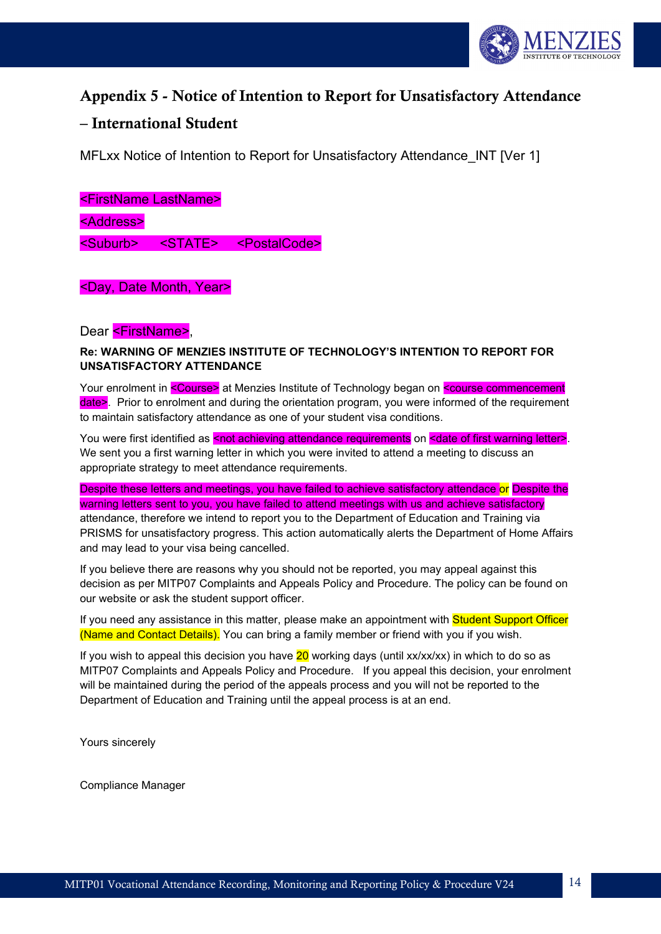

# Appendix 5 - Notice of Intention to Report for Unsatisfactory Attendance

#### – International Student

MFLxx Notice of Intention to Report for Unsatisfactory Attendance\_INT [Ver 1]

<FirstName LastName> <Address> <Suburb> <STATE> <PostalCode>

<Day, Date Month, Year>

Dear <FirstName>,

**Re: WARNING OF MENZIES INSTITUTE OF TECHNOLOGY'S INTENTION TO REPORT FOR UNSATISFACTORY ATTENDANCE** 

Your enrolment in <Course> at Menzies Institute of Technology began on <course commencement date>. Prior to enrolment and during the orientation program, you were informed of the requirement to maintain satisfactory attendance as one of your student visa conditions.

You were first identified as <not achieving attendance requirements on <date of first warning letter>. We sent you a first warning letter in which you were invited to attend a meeting to discuss an appropriate strategy to meet attendance requirements.

Despite these letters and meetings, you have failed to achieve satisfactory attendace or Despite the warning letters sent to you, you have failed to attend meetings with us and achieve satisfactory attendance, therefore we intend to report you to the Department of Education and Training via PRISMS for unsatisfactory progress. This action automatically alerts the Department of Home Affairs and may lead to your visa being cancelled.

If you believe there are reasons why you should not be reported, you may appeal against this decision as per MITP07 Complaints and Appeals Policy and Procedure. The policy can be found on our website or ask the student support officer.

If you need any assistance in this matter, please make an appointment with Student Support Officer (Name and Contact Details). You can bring a family member or friend with you if you wish.

If you wish to appeal this decision you have  $20$  working days (until xx/xx/xx) in which to do so as MITP07 Complaints and Appeals Policy and Procedure. If you appeal this decision, your enrolment will be maintained during the period of the appeals process and you will not be reported to the Department of Education and Training until the appeal process is at an end.

Yours sincerely